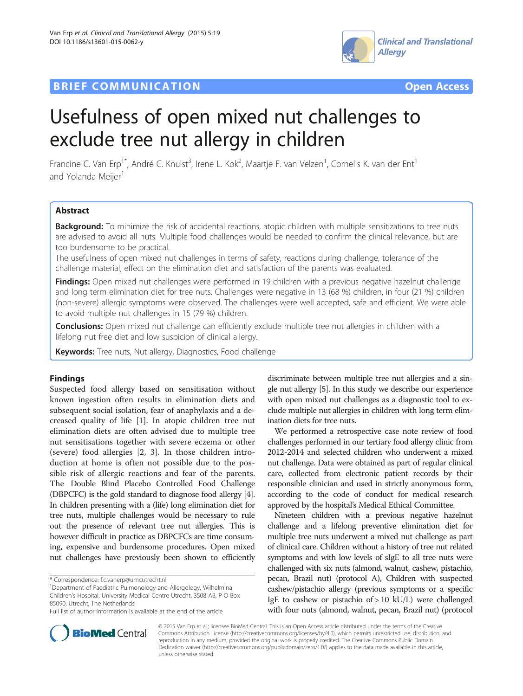## **BRIEF COMMUNICATION COMMUNICATION COMMUNICATION**





# Usefulness of open mixed nut challenges to exclude tree nut allergy in children

Francine C. Van Erp<sup>1\*</sup>, André C. Knulst<sup>3</sup>, Irene L. Kok<sup>2</sup>, Maartje F. van Velzen<sup>1</sup>, Cornelis K. van der Ent<sup>1</sup> and Yolanda Meijer<sup>1</sup>

## Abstract

Background: To minimize the risk of accidental reactions, atopic children with multiple sensitizations to tree nuts are advised to avoid all nuts. Multiple food challenges would be needed to confirm the clinical relevance, but are too burdensome to be practical.

The usefulness of open mixed nut challenges in terms of safety, reactions during challenge, tolerance of the challenge material, effect on the elimination diet and satisfaction of the parents was evaluated.

Findings: Open mixed nut challenges were performed in 19 children with a previous negative hazelnut challenge and long term elimination diet for tree nuts. Challenges were negative in 13 (68 %) children, in four (21 %) children (non-severe) allergic symptoms were observed. The challenges were well accepted, safe and efficient. We were able to avoid multiple nut challenges in 15 (79 %) children.

Conclusions: Open mixed nut challenge can efficiently exclude multiple tree nut allergies in children with a lifelong nut free diet and low suspicion of clinical allergy.

Keywords: Tree nuts, Nut allergy, Diagnostics, Food challenge

## Findings

Suspected food allergy based on sensitisation without known ingestion often results in elimination diets and subsequent social isolation, fear of anaphylaxis and a decreased quality of life [\[1](#page-4-0)]. In atopic children tree nut elimination diets are often advised due to multiple tree nut sensitisations together with severe eczema or other (severe) food allergies [\[2](#page-4-0), [3](#page-4-0)]. In those children introduction at home is often not possible due to the possible risk of allergic reactions and fear of the parents. The Double Blind Placebo Controlled Food Challenge (DBPCFC) is the gold standard to diagnose food allergy [[4](#page-4-0)]. In children presenting with a (life) long elimination diet for tree nuts, multiple challenges would be necessary to rule out the presence of relevant tree nut allergies. This is however difficult in practice as DBPCFCs are time consuming, expensive and burdensome procedures. Open mixed nut challenges have previously been shown to efficiently

discriminate between multiple tree nut allergies and a single nut allergy [\[5](#page-4-0)]. In this study we describe our experience with open mixed nut challenges as a diagnostic tool to exclude multiple nut allergies in children with long term elimination diets for tree nuts.

We performed a retrospective case note review of food challenges performed in our tertiary food allergy clinic from 2012-2014 and selected children who underwent a mixed nut challenge. Data were obtained as part of regular clinical care, collected from electronic patient records by their responsible clinician and used in strictly anonymous form, according to the code of conduct for medical research approved by the hospital's Medical Ethical Committee.

Nineteen children with a previous negative hazelnut challenge and a lifelong preventive elimination diet for multiple tree nuts underwent a mixed nut challenge as part of clinical care. Children without a history of tree nut related symptoms and with low levels of sIgE to all tree nuts were challenged with six nuts (almond, walnut, cashew, pistachio, pecan, Brazil nut) (protocol A), Children with suspected cashew/pistachio allergy (previous symptoms or a specific IgE to cashew or pistachio of > 10 kU/L) were challenged with four nuts (almond, walnut, pecan, Brazil nut) (protocol



© 2015 Van Erp et al.; licensee BioMed Central. This is an Open Access article distributed under the terms of the Creative Commons Attribution License [\(http://creativecommons.org/licenses/by/4.0\)](http://creativecommons.org/licenses/by/4.0), which permits unrestricted use, distribution, and reproduction in any medium, provided the original work is properly credited. The Creative Commons Public Domain Dedication waiver [\(http://creativecommons.org/publicdomain/zero/1.0/](http://creativecommons.org/publicdomain/zero/1.0/)) applies to the data made available in this article, unless otherwise stated.

<sup>\*</sup> Correspondence: [f.c.vanerp@umcutrecht.nl](mailto:f.c.vanerp@umcutrecht.nl) <sup>1</sup>

Department of Paediatric Pulmonology and Allergology, Wilhelmina Children's Hospital, University Medical Centre Utrecht, 3508 AB, P O Box 85090, Utrecht, The Netherlands

Full list of author information is available at the end of the article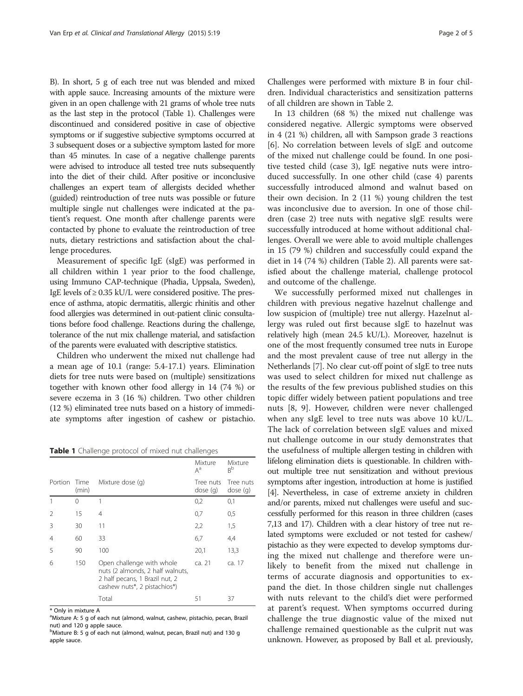B). In short, 5 g of each tree nut was blended and mixed with apple sauce. Increasing amounts of the mixture were given in an open challenge with 21 grams of whole tree nuts as the last step in the protocol (Table 1). Challenges were discontinued and considered positive in case of objective symptoms or if suggestive subjective symptoms occurred at 3 subsequent doses or a subjective symptom lasted for more than 45 minutes. In case of a negative challenge parents were advised to introduce all tested tree nuts subsequently into the diet of their child. After positive or inconclusive challenges an expert team of allergists decided whether (guided) reintroduction of tree nuts was possible or future multiple single nut challenges were indicated at the patient's request. One month after challenge parents were contacted by phone to evaluate the reintroduction of tree nuts, dietary restrictions and satisfaction about the challenge procedures.

Measurement of specific IgE (sIgE) was performed in all children within 1 year prior to the food challenge, using Immuno CAP-technique (Phadia, Uppsala, Sweden), IgE levels of  $\geq$  0.35 kU/L were considered positive. The presence of asthma, atopic dermatitis, allergic rhinitis and other food allergies was determined in out-patient clinic consultations before food challenge. Reactions during the challenge, tolerance of the nut mix challenge material, and satisfaction of the parents were evaluated with descriptive statistics.

Children who underwent the mixed nut challenge had a mean age of 10.1 (range: 5.4-17.1) years. Elimination diets for tree nuts were based on (multiple) sensitizations together with known other food allergy in 14 (74 %) or severe eczema in 3 (16 %) children. Two other children (12 %) eliminated tree nuts based on a history of immediate symptoms after ingestion of cashew or pistachio.

Table 1 Challenge protocol of mixed nut challenges

|                |               |                                                                                                                                 | Mixture<br>$A^a$      | Mixture<br>B <sub>p</sub> |  |  |
|----------------|---------------|---------------------------------------------------------------------------------------------------------------------------------|-----------------------|---------------------------|--|--|
| Portion        | Time<br>(min) | Mixture dose (q)                                                                                                                | Tree nuts<br>dose (g) | Tree nuts<br>dose(q)      |  |  |
|                | 0             | 1                                                                                                                               | 0,2                   | 0,1                       |  |  |
| $\overline{2}$ | 15            | 4                                                                                                                               | 0,7                   | 0,5                       |  |  |
| 3              | 30            | 11                                                                                                                              | 2,2                   | 1,5                       |  |  |
| $\overline{4}$ | 60            | 33                                                                                                                              | 6,7                   | 4,4                       |  |  |
| 5              | 90            | 100                                                                                                                             | 20,1                  | 13,3                      |  |  |
| 6              | 150           | Open challenge with whole<br>nuts (2 almonds, 2 half walnuts,<br>2 half pecans, 1 Brazil nut, 2<br>cashew nuts*, 2 pistachios*) | ca. 21                | ca. 17                    |  |  |
|                |               | Total                                                                                                                           | 51                    | 37                        |  |  |

\* Only in mixture A

Challenges were performed with mixture B in four children. Individual characteristics and sensitization patterns of all children are shown in Table [2.](#page-2-0)

In 13 children (68 %) the mixed nut challenge was considered negative. Allergic symptoms were observed in 4 (21 %) children, all with Sampson grade 3 reactions [[6\]](#page-4-0). No correlation between levels of sIgE and outcome of the mixed nut challenge could be found. In one positive tested child (case 3), IgE negative nuts were introduced successfully. In one other child (case 4) parents successfully introduced almond and walnut based on their own decision. In 2 (11 %) young children the test was inconclusive due to aversion. In one of those children (case 2) tree nuts with negative sIgE results were successfully introduced at home without additional challenges. Overall we were able to avoid multiple challenges in 15 (79 %) children and successfully could expand the diet in 14 (74 %) children (Table [2](#page-2-0)). All parents were satisfied about the challenge material, challenge protocol and outcome of the challenge.

We successfully performed mixed nut challenges in children with previous negative hazelnut challenge and low suspicion of (multiple) tree nut allergy. Hazelnut allergy was ruled out first because sIgE to hazelnut was relatively high (mean 24.5 kU/L). Moreover, hazelnut is one of the most frequently consumed tree nuts in Europe and the most prevalent cause of tree nut allergy in the Netherlands [\[7](#page-4-0)]. No clear cut-off point of sIgE to tree nuts was used to select children for mixed nut challenge as the results of the few previous published studies on this topic differ widely between patient populations and tree nuts [[8](#page-4-0), [9](#page-4-0)]. However, children were never challenged when any sIgE level to tree nuts was above 10 kU/L. The lack of correlation between sIgE values and mixed nut challenge outcome in our study demonstrates that the usefulness of multiple allergen testing in children with lifelong elimination diets is questionable. In children without multiple tree nut sensitization and without previous symptoms after ingestion, introduction at home is justified [[4](#page-4-0)]. Nevertheless, in case of extreme anxiety in children and/or parents, mixed nut challenges were useful and successfully performed for this reason in three children (cases 7,13 and 17). Children with a clear history of tree nut related symptoms were excluded or not tested for cashew/ pistachio as they were expected to develop symptoms during the mixed nut challenge and therefore were unlikely to benefit from the mixed nut challenge in terms of accurate diagnosis and opportunities to expand the diet. In those children single nut challenges with nuts relevant to the child's diet were performed at parent's request. When symptoms occurred during challenge the true diagnostic value of the mixed nut challenge remained questionable as the culprit nut was unknown. However, as proposed by Ball et al. previously,

<sup>&</sup>lt;sup>a</sup>Mixture A: 5 g of each nut (almond, walnut, cashew, pistachio, pecan, Brazil nut) and 120 g apple sauce.

b<br>Mixture B: 5 g of each nut (almond, walnut, pecan, Brazil nut) and 130 g apple sauce.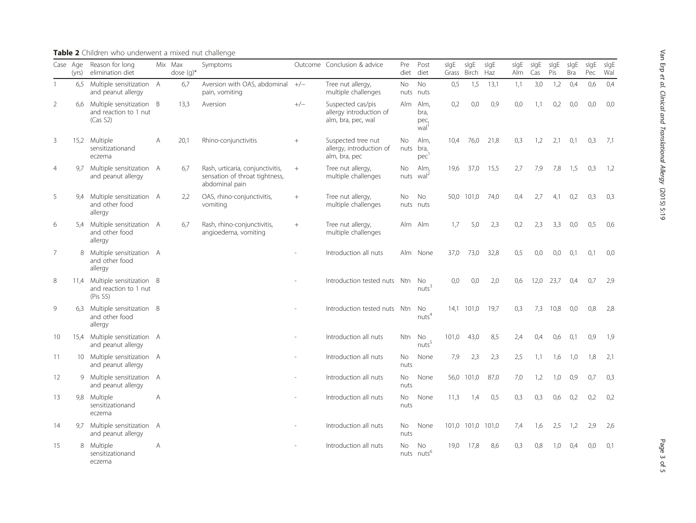|                |      | and peanut allergy                                            |   |      | pain, vomiting                                                                       |        | multiple challenges                                                |                  | nuts nuts                                |       |       |      |     |      |      |     |     |       |
|----------------|------|---------------------------------------------------------------|---|------|--------------------------------------------------------------------------------------|--------|--------------------------------------------------------------------|------------------|------------------------------------------|-------|-------|------|-----|------|------|-----|-----|-------|
| $\overline{2}$ | 6.6  | Multiple sensitization B<br>and reaction to 1 nut<br>(Cas S2) |   | 13.3 | Aversion                                                                             | $+/-$  | Suspected cas/pis<br>allergy introduction of<br>alm, bra, pec, wal | Alm              | Alm,<br>bra,<br>pec,<br>wal <sup>1</sup> | 0,2   | 0.0   | 0,9  | 0,0 | 1.1  | 0,2  | 0.0 | 0.0 | 0.0   |
| 3              | 15.2 | Multiple<br>sensitizationand<br>eczema                        | A | 20.1 | Rhino-conjunctivitis                                                                 | $^{+}$ | Suspected tree nut<br>allergy, introduction of<br>alm, bra, pec    | No.<br>nuts bra, | Alm.<br>pec                              | 10.4  | 76.0  | 21.8 | 0.3 | 1.2  | 2.1  | 0.1 | 0,3 | - 7.1 |
| $\overline{4}$ | 9.7  | Multiple sensitization A<br>and peanut allergy                |   | 6,7  | Rash, urticaria, conjunctivitis,<br>sensation of throat tightness,<br>abdominal pain | $^{+}$ | Tree nut allergy,<br>multiple challenges                           | No<br>nuts       | Alm,<br>$\text{wal}^2$                   | 19,6  | 37,0  | 15,5 | 2,7 | 7,9  | 7,8  | 1,5 | 0,3 | 1,2   |
| 5              | 9.4  | Multiple sensitization A<br>and other food<br>allergy         |   | 2,2  | OAS, rhino-conjunctivitis,<br>vomiting                                               | $^{+}$ | Tree nut allergy,<br>multiple challenges                           | No.              | <b>No</b><br>nuts nuts                   | 50,0  | 101,0 | 74,0 | 0,4 | 2.7  | 4.1  | 0,2 | 0,3 | 0,3   |
| 6              |      | 5.4 Multiple sensitization A<br>and other food<br>allergy     |   | 6,7  | Rash, rhino-conjunctivitis,<br>angioedema, vomiting                                  | $^{+}$ | Tree nut allergy,<br>multiple challenges                           | Alm Alm          |                                          | 1.7   | 5.0   | 2,3  | 0,2 | 2.3  | 3.3  | 0.0 | 0,5 | -0.6  |
| $\overline{7}$ | 8    | Multiple sensitization A<br>and other food<br>allergy         |   |      |                                                                                      |        | Introduction all nuts                                              |                  | Alm None                                 | 37,0  | 73,0  | 32,8 | 0,5 | 0.0  | 0.0  | 0.1 | 0,1 | 0,0   |
| 8              | 11.4 | Multiple sensitization B<br>and reaction to 1 nut<br>(Pis S5) |   |      |                                                                                      |        | Introduction tested nuts Ntn                                       |                  | No<br>nuts <sup>3</sup>                  | 0.0   | 0.0   | 2,0  | 0.6 | 12.0 | 23.7 | 0.4 | 0.7 | -2,9  |
| 9              | 6.3  | Multiple sensitization B<br>and other food<br>allergy         |   |      |                                                                                      |        | Introduction tested nuts Ntn                                       |                  | No<br>nuts <sup>4</sup>                  | 14,1  | 101,0 | 19,7 | 0,3 | 7,3  | 10,8 | 0.0 | 0,8 | -2,8  |
| 10             | 15.4 | Multiple sensitization A<br>and peanut allergy                |   |      |                                                                                      |        | Introduction all nuts                                              | Ntn              | <b>No</b><br>nuts <sup>5</sup>           | 101.0 | 43.0  | 8,5  | 2,4 | 0.4  | 0.6  | 0.1 | 0,9 | -1,9  |
| 11             | 10.  | Multiple sensitization A<br>and peanut allergy                |   |      |                                                                                      |        | Introduction all nuts                                              | No<br>nuts       | None                                     | 7,9   | 2,3   | 2,3  | 2,5 | 1.1  | 1.6  | 1.0 | 1.8 | 2,1   |
| 12             | 9    | Multiple sensitization A                                      |   |      |                                                                                      |        | Introduction all nuts                                              | No.              | None                                     | 56,0  | 101,0 | 87,0 | 7,0 | 1,2  | 1,0  | 0,9 | 0.7 | 0,3   |

A - Introduction all nuts No

Symptoms **Outcome Conclusion & advice** Pre

Tree nut allergy,

6.7 Aversion with OAS, abdominal  $+/-$ 

diet Post diet

No

nuts

nuts

No

sIgE sIgE sIgE Grass Birch Haz sIgE sIgE sIgE Alm Cas Pis

0,5 1,5 13,1 1,1 3,0 1,2 0,4 0,6 0,4

None 11,3 1,4 0,5 0,3 0,3 0,6 0,2 0,2 0,2

None 101,0 101,0 101,0 7,4 1,6 2,5 1,2 2,9 2,6

19,0 17,8 8,6 0,3 0,8 1,0 0,4 0,0 0,1

sIgE

Bra Pec Wal sIgE sIgE

### <span id="page-2-0"></span>Table 2 Children who underwent a mixed nut challenge

Mix Max dose (g)\*

Case Age Reason for long (yrs) elimination diet

1 6.5 Multiple sensitization A

and peanut allergy

sensitizationand

13 9,8 Multiple

eczema 14 9,7 Multiple sensitization A and peanut allergy - Introduction all nuts No nuts 15 8 Multiple sensitizationand eczema A decree and the intervention of the Introduction all nuts nuts nuts<sup>6</sup> No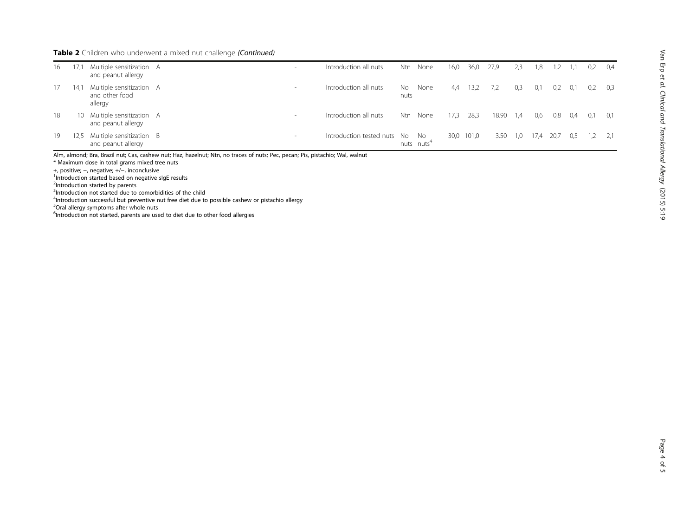## Table 2 Children who underwent a mixed nut challenge (Continued)

| 16 |     | Multiple sensitization A<br>and peanut allergy        | $\sim$ | Introduction all nuts       | Ntn         | None                           | 16,0 | 36,0  | 27,9  | 2,3 | 1,8 |      |     | 0,2 | 0,4   |
|----|-----|-------------------------------------------------------|--------|-----------------------------|-------------|--------------------------------|------|-------|-------|-----|-----|------|-----|-----|-------|
| 17 | 14. | Multiple sensitization A<br>and other food<br>allergy | $\sim$ | Introduction all nuts       | No.<br>nuts | None                           | 4.4  | 13,2  | 7,2   | 0,3 | 0,1 | 0,2  | 0,1 | 0,2 | -0.3  |
| 18 | 10  | Multiple sensitization A<br>and peanut allergy        | $\,$   | Introduction all nuts       | <b>Ntn</b>  | None                           | 17,3 | 28,3  | 18.90 | 1,4 | 0,6 | 0,8  | 0.4 | 0,1 | - 0.1 |
| 19 | 2,5 | Multiple sensitization B<br>and peanut allergy        | $\,$   | Introduction tested nuts No |             | - No<br>nuts nuts <sup>4</sup> | 30,0 | 101,0 | 3.50  | 1,0 | 1/4 | 20,7 | 0,5 |     |       |

Alm, almond; Bra, Brazil nut; Cas, cashew nut; Haz, hazelnut; Ntn, no traces of nuts; Pec, pecan; Pis, pistachio; Wal, walnut

 $*$  Maximum dose in total grams mixed tree nuts<br>+, positive; -, negative; +/-, inconclusive

+, positive; –, negative; +/−, inconclusive<br><sup>1</sup>Introduction started based on negative sIgE results

<sup>2</sup>Introduction started by parents

<sup>3</sup>Introduction not started due to comorbidities of the child

<sup>4</sup>Introduction successful but preventive nut free diet due to possible cashew or pistachio allergy

5 Oral allergy symptoms after whole nuts

<sup>6</sup>Introduction not started, parents are used to diet due to other food allergies